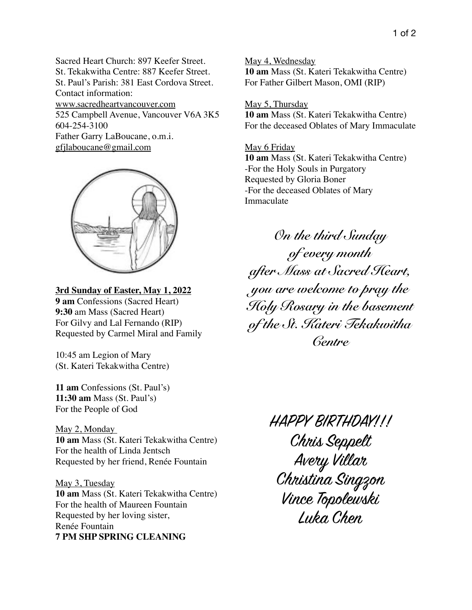Sacred Heart Church: 897 Keefer Street. St. Tekakwitha Centre: 887 Keefer Street. St. Paul's Parish: 381 East Cordova Street. Contact information: www.sacredheartvancouver.com 525 Campbell Avenue, Vancouver V6A 3K5 604-254-3100 Father Garry LaBoucane, o.m.i. [gfjlaboucane@gmail.com](mailto:gfjlaboucane@gmail.com)



## **3rd Sunday of Easter, May 1, 2022**

**9 am** Confessions (Sacred Heart) **9:30** am Mass (Sacred Heart) For Gilvy and Lal Fernando (RIP) Requested by Carmel Miral and Family

10:45 am Legion of Mary (St. Kateri Tekakwitha Centre)

**11 am** Confessions (St. Paul's) **11:30 am** Mass (St. Paul's) For the People of God

May 2, Monday **10 am** Mass (St. Kateri Tekakwitha Centre) For the health of Linda Jentsch Requested by her friend, Renée Fountain

May 3, Tuesday **10 am** Mass (St. Kateri Tekakwitha Centre) For the health of Maureen Fountain Requested by her loving sister, Renée Fountain **7 PM SHP SPRING CLEANING**

May 4, Wednesday **10 am** Mass (St. Kateri Tekakwitha Centre) For Father Gilbert Mason, OMI (RIP)

## May 5, Thursday

**10 am** Mass (St. Kateri Tekakwitha Centre) For the deceased Oblates of Mary Immaculate

## May 6 Friday

**10 am** Mass (St. Kateri Tekakwitha Centre) -For the Holy Souls in Purgatory Requested by Gloria Boner -For the deceased Oblates of Mary Immaculate

*On the third Sunday of every month after Mass at Sacred Heart, you are welcome to pray the Holy Rosary in the basement of the St. Kateri Tekakwitha Centre*

> HAPPY BIRTHDAY!!! Chris Seppelt Avery Villar Christina Singzon Vince Topolewski Luka Chen